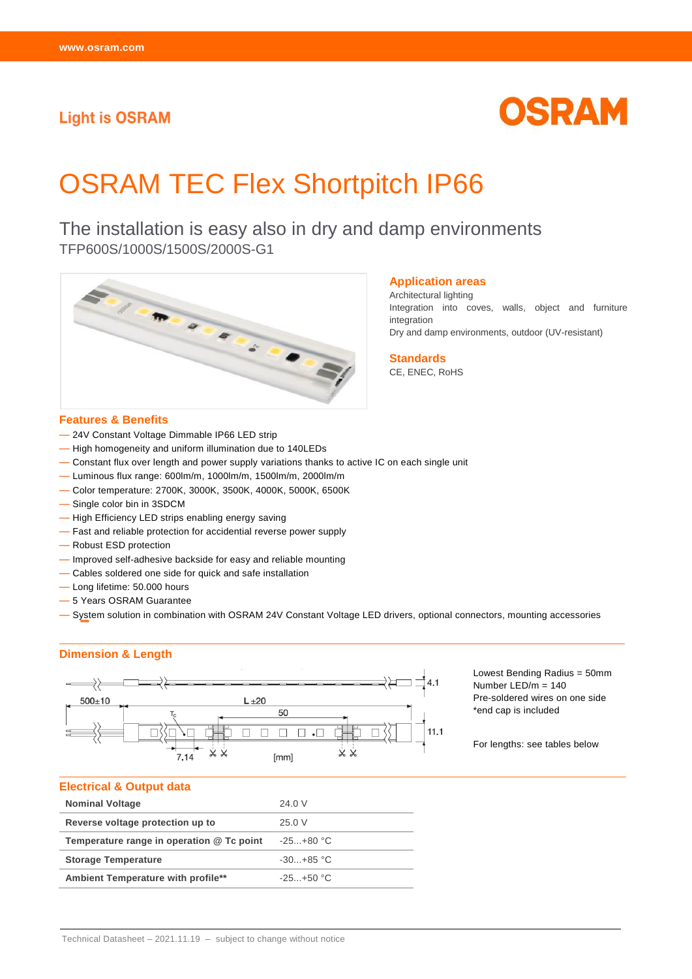# **Light is OSRAM**



# OSRAM TEC Flex Shortpitch IP66

The installation is easy also in dry and damp environments TFP600S/1000S/1500S/2000S-G1



#### **Application areas**

Architectural lighting Integration into coves, walls, object and furniture integration Dry and damp environments, outdoor (UV-resistant)

**Standards** CE, ENEC, RoHS

#### **Features & Benefits**

- 24V Constant Voltage Dimmable IP66 LED strip
- High homogeneity and uniform illumination due to 140LEDs
- Constant flux over length and power supply variations thanks to active IC on each single unit
- Luminous flux range: 600lm/m, 1000lm/m, 1500lm/m, 2000lm/m
- Color temperature: 2700K, 3000K, 3500K, 4000K, 5000K, 6500K
- Single color bin in 3SDCM
- High Efficiency LED strips enabling energy saving
- Fast and reliable protection for accidential reverse power supply
- Robust ESD protection
- Improved self-adhesive backside for easy and reliable mounting
- Cables soldered one side for quick and safe installation
- Long lifetime: 50.000 hours
- 5 Years OSRAM Guarantee
- System solution in combination with OSRAM 24V Constant Voltage LED drivers, optional connectors, mounting accessories

## **Dimension & Length**



Lowest Bending Radius = 50mm Number LED/m = 140 Pre-soldered wires on one side \*end cap is included

For lengths: see tables below

#### **Electrical & Output data**

| <b>Nominal Voltage</b>                    | 24.0 V        |
|-------------------------------------------|---------------|
| Reverse voltage protection up to          | 25.0 V        |
| Temperature range in operation @ Tc point | -25…+80 °C    |
| <b>Storage Temperature</b>                | $-30. +85$ °C |
| Ambient Temperature with profile**        | $-25. +50 °C$ |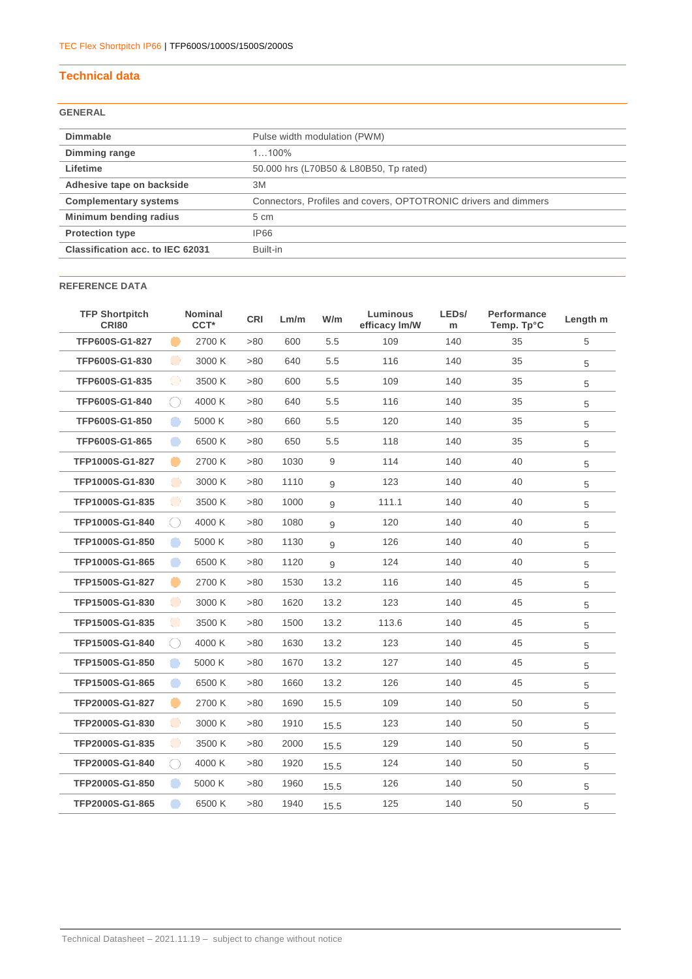## **Technical data**

## **GENERAL**

| <b>Dimmable</b>                  | Pulse width modulation (PWM)                                    |
|----------------------------------|-----------------------------------------------------------------|
| Dimming range                    | $1100\%$                                                        |
| Lifetime                         | 50.000 hrs (L70B50 & L80B50, Tp rated)                          |
| Adhesive tape on backside        | 3M                                                              |
| <b>Complementary systems</b>     | Connectors, Profiles and covers, OPTOTRONIC drivers and dimmers |
| Minimum bending radius           | 5 cm                                                            |
| <b>Protection type</b>           | <b>IP66</b>                                                     |
| Classification acc. to IEC 62031 | Built-in                                                        |

## **REFERENCE DATA**

| <b>TFP Shortpitch</b><br><b>CR180</b> |           | <b>Nominal</b><br>CCT <sup>*</sup> | <b>CRI</b> | Lm/m | W/m  | Luminous<br>efficacy Im/W | LED <sub>s</sub> /<br>m | Performance<br>Temp. Tp°C | Length m |
|---------------------------------------|-----------|------------------------------------|------------|------|------|---------------------------|-------------------------|---------------------------|----------|
| TFP600S-G1-827                        | -         | 2700 K                             | >80        | 600  | 5.5  | 109                       | 140                     | 35                        | 5        |
| TFP600S-G1-830                        | $\bullet$ | 3000 K                             | >80        | 640  | 5.5  | 116                       | 140                     | 35                        | 5        |
| TFP600S-G1-835                        | $\bullet$ | 3500 K                             | >80        | 600  | 5.5  | 109                       | 140                     | 35                        | 5        |
| TFP600S-G1-840                        | ○         | 4000 K                             | >80        | 640  | 5.5  | 116                       | 140                     | 35                        | 5        |
| TFP600S-G1-850                        | $\bullet$ | 5000 K                             | >80        | 660  | 5.5  | 120                       | 140                     | 35                        | 5        |
| TFP600S-G1-865                        | $\bullet$ | 6500 K                             | >80        | 650  | 5.5  | 118                       | 140                     | 35                        | 5        |
| TFP1000S-G1-827                       | -         | 2700 K                             | >80        | 1030 | 9    | 114                       | 140                     | 40                        | 5        |
| TFP1000S-G1-830                       | $\bullet$ | 3000 K                             | >80        | 1110 | 9    | 123                       | 140                     | 40                        | 5        |
| TFP1000S-G1-835                       | $\bullet$ | 3500 K                             | >80        | 1000 | 9    | 111.1                     | 140                     | 40                        | 5        |
| TFP1000S-G1-840                       | ◯         | 4000 K                             | >80        | 1080 | 9    | 120                       | 140                     | 40                        | 5        |
| TFP1000S-G1-850                       | $\bullet$ | 5000 K                             | >80        | 1130 | 9    | 126                       | 140                     | 40                        | 5        |
| TFP1000S-G1-865                       | $\bullet$ | 6500 K                             | >80        | 1120 | 9    | 124                       | 140                     | 40                        | 5        |
| TFP1500S-G1-827                       | $\bullet$ | 2700 K                             | >80        | 1530 | 13.2 | 116                       | 140                     | 45                        | 5        |
| TFP1500S-G1-830                       | $\bullet$ | 3000 K                             | >80        | 1620 | 13.2 | 123                       | 140                     | 45                        | 5        |
| TFP1500S-G1-835                       | $\bullet$ | 3500 K                             | >80        | 1500 | 13.2 | 113.6                     | 140                     | 45                        | 5        |
| TFP1500S-G1-840                       | ○         | 4000 K                             | >80        | 1630 | 13.2 | 123                       | 140                     | 45                        | 5        |
| TFP1500S-G1-850                       | $\bullet$ | 5000 K                             | >80        | 1670 | 13.2 | 127                       | 140                     | 45                        | 5        |
| TFP1500S-G1-865                       | $\bullet$ | 6500 K                             | >80        | 1660 | 13.2 | 126                       | 140                     | 45                        | 5        |
| TFP2000S-G1-827                       | -         | 2700 K                             | >80        | 1690 | 15.5 | 109                       | 140                     | 50                        | 5        |
| TFP2000S-G1-830                       | $\bullet$ | 3000 K                             | >80        | 1910 | 15.5 | 123                       | 140                     | 50                        | 5        |
| TFP2000S-G1-835                       | $\bullet$ | 3500 K                             | >80        | 2000 | 15.5 | 129                       | 140                     | 50                        | 5        |
| TFP2000S-G1-840                       | ○         | 4000 K                             | >80        | 1920 | 15.5 | 124                       | 140                     | 50                        | 5        |
| TFP2000S-G1-850                       | $\bullet$ | 5000 K                             | >80        | 1960 | 15.5 | 126                       | 140                     | 50                        | 5        |
| TFP2000S-G1-865                       | $\Box$    | 6500K                              | >80        | 1940 | 15.5 | 125                       | 140                     | 50                        | 5        |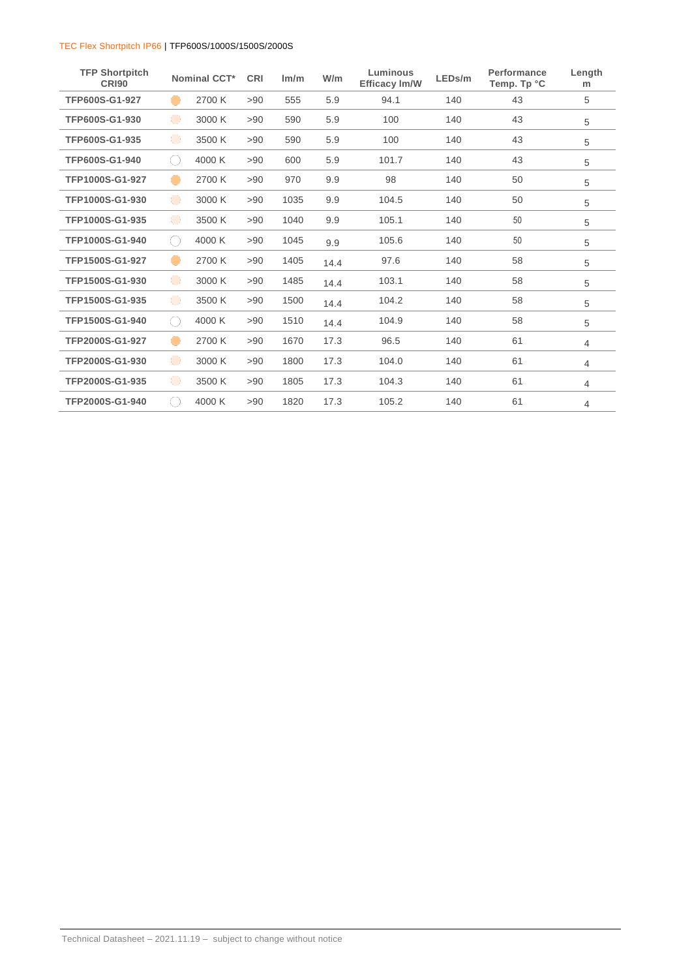| <b>TFP Shortpitch</b><br><b>CR190</b> |            | Nominal CCT* | <b>CRI</b> | Im/m | W/m  | Luminous<br><b>Efficacy Im/W</b> | LEDs/m | Performance<br>Temp. Tp °C | Length<br>m |
|---------------------------------------|------------|--------------|------------|------|------|----------------------------------|--------|----------------------------|-------------|
| TFP600S-G1-927                        |            | 2700 K       | >90        | 555  | 5.9  | 94.1                             | 140    | 43                         | 5           |
| TFP600S-G1-930                        | $\bullet$  | 3000 K       | >90        | 590  | 5.9  | 100                              | 140    | 43                         | 5           |
| TFP600S-G1-935                        | $\bullet$  | 3500 K       | >90        | 590  | 5.9  | 100                              | 140    | 43                         | 5           |
| TFP600S-G1-940                        | $(\ )$     | 4000 K       | >90        | 600  | 5.9  | 101.7                            | 140    | 43                         | 5           |
| TFP1000S-G1-927                       | -          | 2700 K       | >90        | 970  | 9.9  | 98                               | 140    | 50                         | 5           |
| TFP1000S-G1-930                       | $\bullet$  | 3000 K       | >90        | 1035 | 9.9  | 104.5                            | 140    | 50                         | 5           |
| TFP1000S-G1-935                       | $\bigodot$ | 3500 K       | >90        | 1040 | 9.9  | 105.1                            | 140    | 50                         | 5           |
| TFP1000S-G1-940                       | $($ )      | 4000 K       | >90        | 1045 | 9.9  | 105.6                            | 140    | 50                         | 5           |
| TFP1500S-G1-927                       |            | 2700 K       | >90        | 1405 | 14.4 | 97.6                             | 140    | 58                         | 5           |
| TFP1500S-G1-930                       | $\bullet$  | 3000 K       | >90        | 1485 | 14.4 | 103.1                            | 140    | 58                         | 5           |
| TFP1500S-G1-935                       | $\bigodot$ | 3500 K       | >90        | 1500 | 14.4 | 104.2                            | 140    | 58                         | 5           |
| TFP1500S-G1-940                       | $(\ )$     | 4000 K       | >90        | 1510 | 14.4 | 104.9                            | 140    | 58                         | 5           |
| TFP2000S-G1-927                       | O          | 2700 K       | >90        | 1670 | 17.3 | 96.5                             | 140    | 61                         | 4           |
| TFP2000S-G1-930                       | $\bullet$  | 3000 K       | >90        | 1800 | 17.3 | 104.0                            | 140    | 61                         | 4           |
| TFP2000S-G1-935                       | $\bullet$  | 3500 K       | >90        | 1805 | 17.3 | 104.3                            | 140    | 61                         | 4           |
| TFP2000S-G1-940                       | $(\ )$     | 4000 K       | >90        | 1820 | 17.3 | 105.2                            | 140    | 61                         | 4           |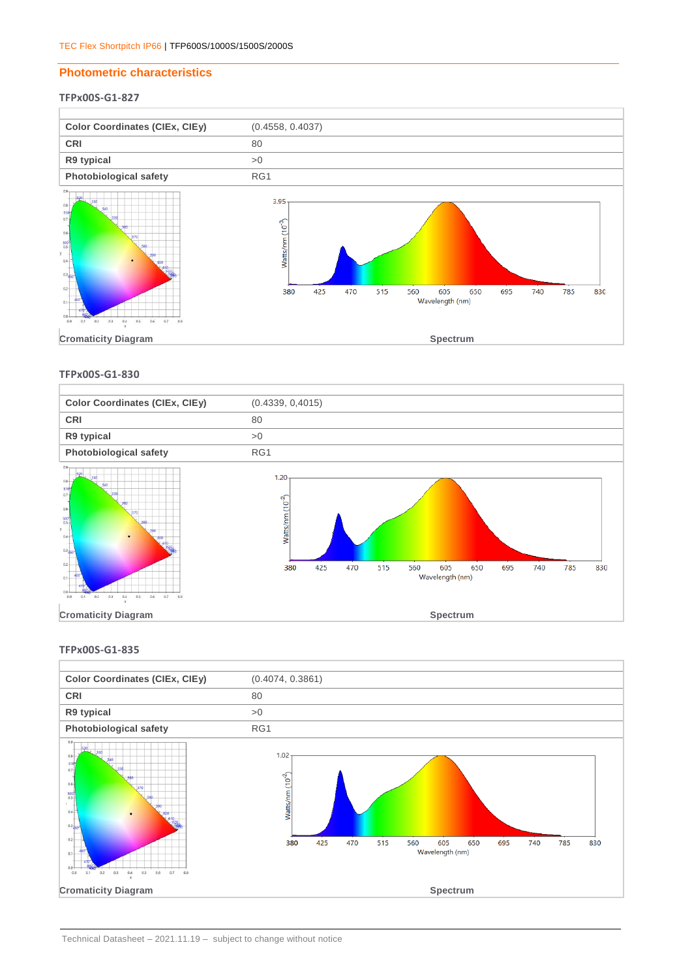#### **Photometric characteristics**

## **TFPx00S-G1-827**



#### **TFPx00S-G1-830**



#### **TFPx00S-G1-835**

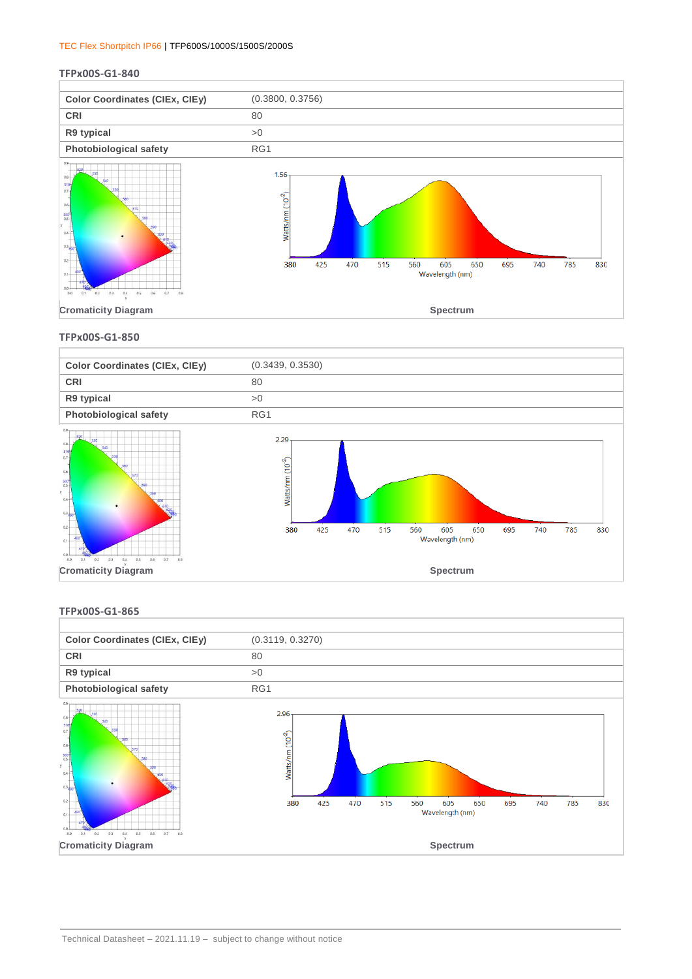#### **TFPx00S-G1-840**



**TFPx00S-G1-850**



#### **TFPx00S-G1-865**

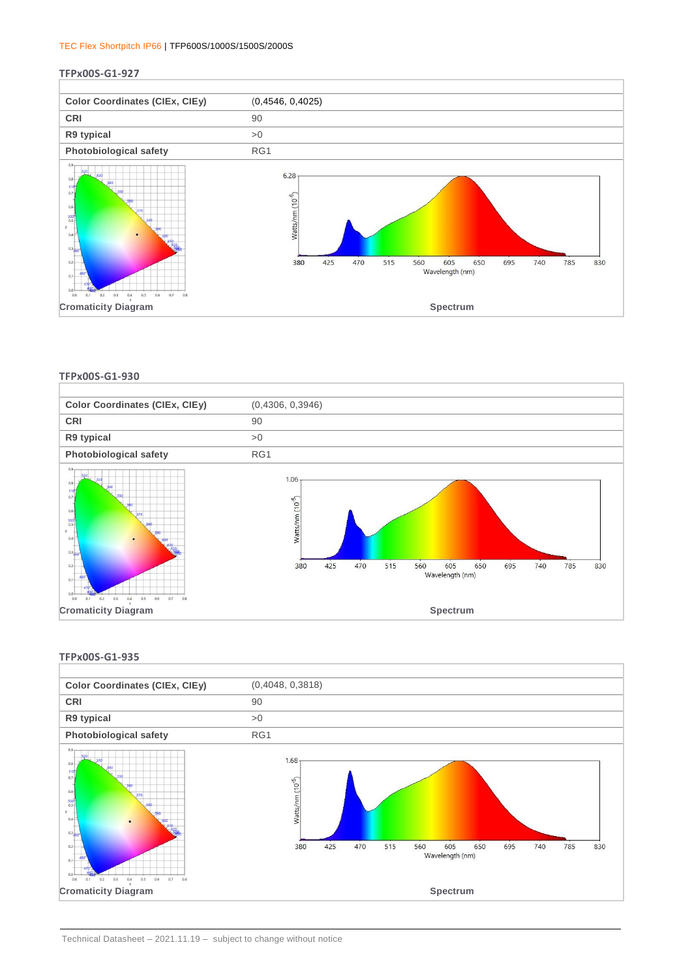#### **TFPx00S-G1-927**



**TFPx00S-G1-930**



#### **TFPx00S-G1-935**

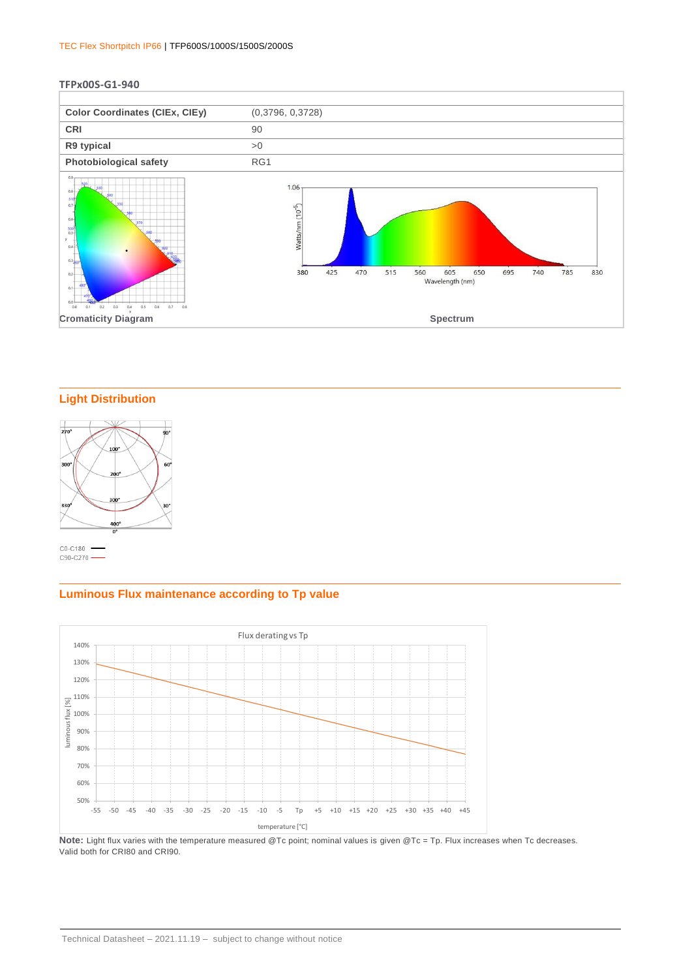#### **TFPx00S-G1-940**



## **Light Distribution**



## **Luminous Flux maintenance according to Tp value**



Note: Light flux varies with the temperature measured @Tc point; nominal values is given @Tc = Tp. Flux increases when Tc decreases. Valid both for CRI80 and CRI90.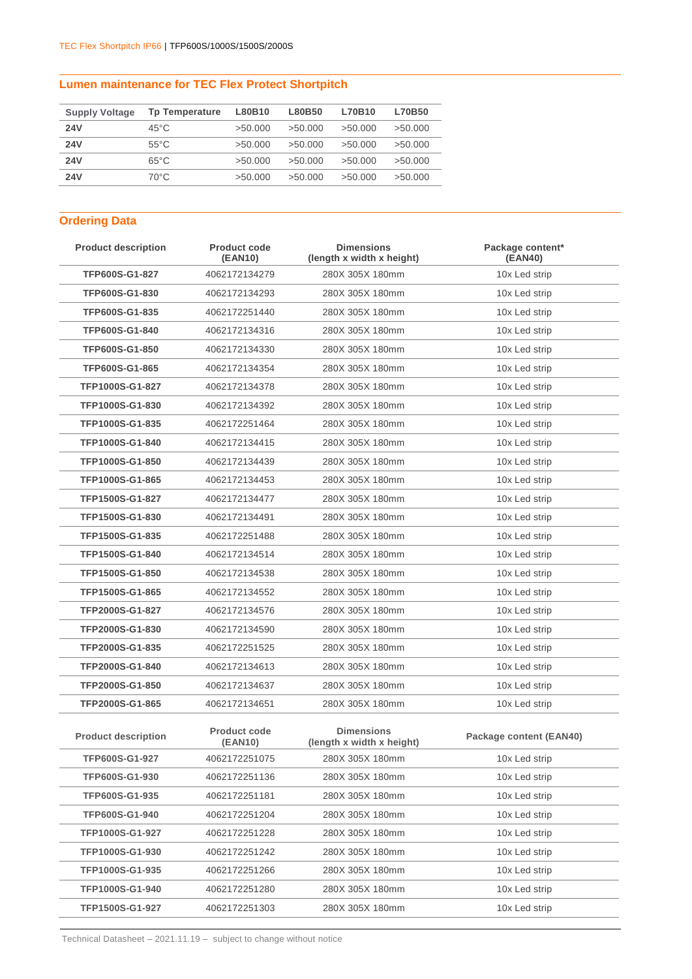## **Lumen maintenance for TEC Flex Protect Shortpitch**

| <b>Supply Voltage</b> | <b>Tp Temperature</b> | L80B10  | L80B50  | L70B10  | <b>L70B50</b> |
|-----------------------|-----------------------|---------|---------|---------|---------------|
| <b>24V</b>            | $45^{\circ}$ C        | >50.000 | >50.000 | >50.000 | >50.000       |
| <b>24V</b>            | $55^{\circ}$ C        | >50.000 | >50.000 | >50.000 | >50.000       |
| <b>24V</b>            | $65^{\circ}$ C        | >50.000 | >50.000 | >50.000 | >50.000       |
| <b>24V</b>            | 70°C                  | >50.000 | >50.000 | >50.000 | >50.000       |

# **Ordering Data**

| <b>Product description</b> | <b>Product code</b><br>(EAN10) | <b>Dimensions</b><br>(length x width x height) | Package content*<br>(EAN40) |
|----------------------------|--------------------------------|------------------------------------------------|-----------------------------|
| TFP600S-G1-827             | 4062172134279                  | 280X 305X 180mm                                | 10x Led strip               |
| TFP600S-G1-830             | 4062172134293                  | 280X 305X 180mm                                | 10x Led strip               |
| TFP600S-G1-835             | 4062172251440                  | 280X 305X 180mm                                | 10x Led strip               |
| TFP600S-G1-840             | 4062172134316                  | 280X 305X 180mm                                | 10x Led strip               |
| TFP600S-G1-850             | 4062172134330                  | 280X 305X 180mm                                | 10x Led strip               |
| TFP600S-G1-865             | 4062172134354                  | 280X 305X 180mm                                | 10x Led strip               |
| TFP1000S-G1-827            | 4062172134378                  | 280X 305X 180mm                                | 10x Led strip               |
| TFP1000S-G1-830            | 4062172134392                  | 280X 305X 180mm                                | 10x Led strip               |
| TFP1000S-G1-835            | 4062172251464                  | 280X 305X 180mm                                | 10x Led strip               |
| TFP1000S-G1-840            | 4062172134415                  | 280X 305X 180mm                                | 10x Led strip               |
| TFP1000S-G1-850            | 4062172134439                  | 280X 305X 180mm                                | 10x Led strip               |
| TFP1000S-G1-865            | 4062172134453                  | 280X 305X 180mm                                | 10x Led strip               |
| TFP1500S-G1-827            | 4062172134477                  | 280X 305X 180mm                                | 10x Led strip               |
| TFP1500S-G1-830            | 4062172134491                  | 280X 305X 180mm                                | 10x Led strip               |
| TFP1500S-G1-835            | 4062172251488                  | 280X 305X 180mm                                | 10x Led strip               |
| TFP1500S-G1-840            | 4062172134514                  | 280X 305X 180mm                                | 10x Led strip               |
| TFP1500S-G1-850            | 4062172134538                  | 280X 305X 180mm                                | 10x Led strip               |
| TFP1500S-G1-865            | 4062172134552                  | 280X 305X 180mm                                | 10x Led strip               |
| TFP2000S-G1-827            | 4062172134576                  | 280X 305X 180mm                                | 10x Led strip               |
| TFP2000S-G1-830            | 4062172134590                  | 280X 305X 180mm                                | 10x Led strip               |
| TFP2000S-G1-835            | 4062172251525                  | 280X 305X 180mm                                | 10x Led strip               |
| TFP2000S-G1-840            | 4062172134613                  | 280X 305X 180mm                                | 10x Led strip               |
| TFP2000S-G1-850            | 4062172134637                  | 280X 305X 180mm                                | 10x Led strip               |
| TFP2000S-G1-865            | 4062172134651                  | 280X 305X 180mm                                | 10x Led strip               |
| <b>Product description</b> | <b>Product code</b><br>(EAN10) | <b>Dimensions</b><br>(length x width x height) | Package content (EAN40)     |
| <b>TFP600S-G1-927</b>      | 4062172251075                  | 280X 305X 180mm                                | 10x Led strip               |
| TFP600S-G1-930             | 4062172251136                  | 280X 305X 180mm                                | 10x Led strip               |
| TFP600S-G1-935             | 4062172251181                  | 280X 305X 180mm                                | 10x Led strip               |
| TFP600S-G1-940             | 4062172251204                  | 280X 305X 180mm                                | 10x Led strip               |
| TFP1000S-G1-927            | 4062172251228                  | 280X 305X 180mm                                | 10x Led strip               |
| TFP1000S-G1-930            | 4062172251242                  | 280X 305X 180mm                                | 10x Led strip               |
| TFP1000S-G1-935            | 4062172251266                  | 280X 305X 180mm                                | 10x Led strip               |
| TFP1000S-G1-940            | 4062172251280                  | 280X 305X 180mm                                | 10x Led strip               |
| TFP1500S-G1-927            | 4062172251303                  | 280X 305X 180mm                                | 10x Led strip               |

Technical Datasheet – 2021.11.19 – subject to change without notice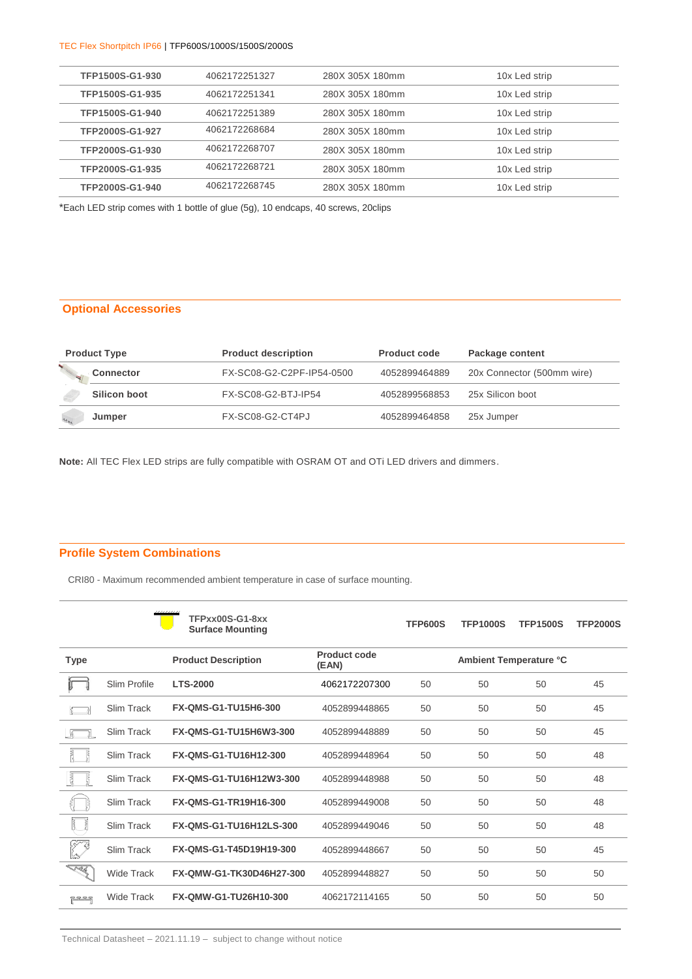| TFP1500S-G1-930 | 4062172251327 | 280X 305X 180mm | 10x Led strip |
|-----------------|---------------|-----------------|---------------|
| TFP1500S-G1-935 | 4062172251341 | 280X 305X 180mm | 10x Led strip |
| TFP1500S-G1-940 | 4062172251389 | 280X 305X 180mm | 10x Led strip |
| TFP2000S-G1-927 | 4062172268684 | 280X 305X 180mm | 10x Led strip |
| TFP2000S-G1-930 | 4062172268707 | 280X 305X 180mm | 10x Led strip |
| TFP2000S-G1-935 | 4062172268721 | 280X 305X 180mm | 10x Led strip |
| TFP2000S-G1-940 | 4062172268745 | 280X 305X 180mm | 10x Led strip |

\*Each LED strip comes with 1 bottle of glue (5g), 10 endcaps, 40 screws, 20clips

## **Optional Accessories**

| <b>Product Type</b> | <b>Product description</b> | <b>Product code</b> | Package content            |
|---------------------|----------------------------|---------------------|----------------------------|
| <b>Connector</b>    | FX-SC08-G2-C2PF-IP54-0500  | 4052899464889       | 20x Connector (500mm wire) |
| Silicon boot        | FX-SC08-G2-BTJ-IP54        | 4052899568853       | 25x Silicon boot           |
| Jumper<br>22.5      | FX-SC08-G2-CT4PJ           | 4052899464858       | 25x Jumper                 |

**Note:** All TEC Flex LED strips are fully compatible with OSRAM OT and OTi LED drivers and dimmers.

## **Profile System Combinations**

CRI80 - Maximum recommended ambient temperature in case of surface mounting.

|                      |                   | TFPxx00S-G1-8xx<br><b>Surface Mounting</b> |                       | <b>TFP600S</b> | <b>TFP1000S</b> | <b>TFP1500S</b>               | <b>TFP2000S</b> |
|----------------------|-------------------|--------------------------------------------|-----------------------|----------------|-----------------|-------------------------------|-----------------|
| <b>Type</b>          |                   | <b>Product Description</b>                 | Product code<br>(EAN) |                |                 | <b>Ambient Temperature °C</b> |                 |
|                      | Slim Profile      | <b>LTS-2000</b>                            | 4062172207300         | 50             | 50              | 50                            | 45              |
|                      | Slim Track        | FX-QMS-G1-TU15H6-300                       | 4052899448865         | 50             | 50              | 50                            | 45              |
|                      | Slim Track        | FX-QMS-G1-TU15H6W3-300                     | 4052899448889         | 50             | 50              | 50                            | 45              |
|                      | Slim Track        | FX-QMS-G1-TU16H12-300                      | 4052899448964         | 50             | 50              | 50                            | 48              |
| Ę                    | Slim Track        | FX-QMS-G1-TU16H12W3-300                    | 4052899448988         | 50             | 50              | 50                            | 48              |
|                      | Slim Track        | FX-QMS-G1-TR19H16-300                      | 4052899449008         | 50             | 50              | 50                            | 48              |
| š<br>F.              | Slim Track        | FX-QMS-G1-TU16H12LS-300                    | 4052899449046         | 50             | 50              | 50                            | 48              |
|                      | Slim Track        | FX-QMS-G1-T45D19H19-300                    | 4052899448667         | 50             | 50              | 50                            | 45              |
| $\frac{1}{\sqrt{N}}$ | <b>Wide Track</b> | FX-QMW-G1-TK30D46H27-300                   | 4052899448827         | 50             | 50              | 50                            | 50              |
| یُنے کنے کنے کلا     | Wide Track        | FX-QMW-G1-TU26H10-300                      | 4062172114165         | 50             | 50              | 50                            | 50              |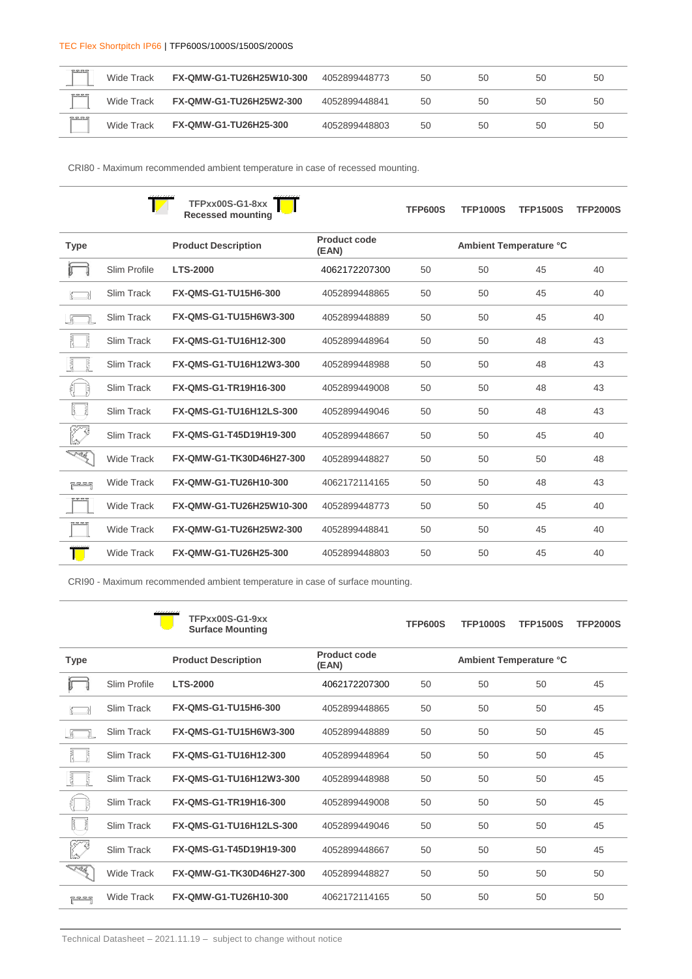| <u> RRRS</u>  | Wide Track | FX-QMW-G1-TU26H25W10-300     | 4052899448773 | 50 | 50 | 50 | 50 |
|---------------|------------|------------------------------|---------------|----|----|----|----|
| 77777         | Wide Track | FX-QMW-G1-TU26H25W2-300      | 4052899448841 | 50 | 50 | 50 | 50 |
| <u>genera</u> | Wide Track | <b>FX-QMW-G1-TU26H25-300</b> | 4052899448803 | 50 | 50 | 50 | 50 |

CRI80 - Maximum recommended ambient temperature in case of recessed mounting.

|                         |                   | $TFPxx00S-G1-Sxx$<br><b>Recessed mounting</b> |                              | <b>TFP600S</b> | <b>TFP1000S</b> | <b>TFP1500S</b>        | <b>TFP2000S</b> |
|-------------------------|-------------------|-----------------------------------------------|------------------------------|----------------|-----------------|------------------------|-----------------|
| <b>Type</b>             |                   | <b>Product Description</b>                    | <b>Product code</b><br>(EAN) |                |                 | Ambient Temperature °C |                 |
|                         | Slim Profile      | <b>LTS-2000</b>                               | 4062172207300                | 50             | 50              | 45                     | 40              |
|                         | <b>Slim Track</b> | FX-QMS-G1-TU15H6-300                          | 4052899448865                | 50             | 50              | 45                     | 40              |
|                         | Slim Track        | FX-QMS-G1-TU15H6W3-300                        | 4052899448889                | 50             | 50              | 45                     | 40              |
|                         | Slim Track        | FX-QMS-G1-TU16H12-300                         | 4052899448964                | 50             | 50              | 48                     | 43              |
| ₿                       | Slim Track        | FX-QMS-G1-TU16H12W3-300                       | 4052899448988                | 50             | 50              | 48                     | 43              |
|                         | <b>Slim Track</b> | FX-QMS-G1-TR19H16-300                         | 4052899449008                | 50             | 50              | 48                     | 43              |
| Ï<br>ť                  | Slim Track        | FX-QMS-G1-TU16H12LS-300                       | 4052899449046                | 50             | 50              | 48                     | 43              |
| <b>SA</b>               | <b>Slim Track</b> | FX-QMS-G1-T45D19H19-300                       | 4052899448667                | 50             | 50              | 45                     | 40              |
| <u>S</u>                | <b>Wide Track</b> | FX-QMW-G1-TK30D46H27-300                      | 4052899448827                | 50             | 50              | 50                     | 48              |
| ي<br>الله <u>ڪ ته ڪ</u> | <b>Wide Track</b> | FX-QMW-G1-TU26H10-300                         | 4062172114165                | 50             | 50              | 48                     | 43              |
| <b>RESERVE</b>          | <b>Wide Track</b> | FX-QMW-G1-TU26H25W10-300                      | 4052899448773                | 50             | 50              | 45                     | 40              |
| -52.52.5                | <b>Wide Track</b> | FX-QMW-G1-TU26H25W2-300                       | 4052899448841                | 50             | 50              | 45                     | 40              |
|                         | <b>Wide Track</b> | FX-QMW-G1-TU26H25-300                         | 4052899448803                | 50             | 50              | 45                     | 40              |

CRI90 - Maximum recommended ambient temperature in case of surface mounting.

|             |                   | TFPxx00S-G1-9xx<br><b>Surface Mounting</b> |                              | <b>TFP600S</b> | <b>TFP1000S</b> | <b>TFP1500S</b>        | <b>TFP2000S</b> |
|-------------|-------------------|--------------------------------------------|------------------------------|----------------|-----------------|------------------------|-----------------|
| <b>Type</b> |                   | <b>Product Description</b>                 | <b>Product code</b><br>(EAN) |                |                 | Ambient Temperature °C |                 |
|             | Slim Profile      | <b>LTS-2000</b>                            | 4062172207300                | 50             | 50              | 50                     | 45              |
|             | Slim Track        | FX-QMS-G1-TU15H6-300                       | 4052899448865                | 50             | 50              | 50                     | 45              |
|             | Slim Track        | FX-QMS-G1-TU15H6W3-300                     | 4052899448889                | 50             | 50              | 50                     | 45              |
|             | Slim Track        | FX-QMS-G1-TU16H12-300                      | 4052899448964                | 50             | 50              | 50                     | 45              |
| Ę           | Slim Track        | FX-QMS-G1-TU16H12W3-300                    | 4052899448988                | 50             | 50              | 50                     | 45              |
|             | Slim Track        | FX-QMS-G1-TR19H16-300                      | 4052899449008                | 50             | 50              | 50                     | 45              |
|             | Slim Track        | FX-QMS-G1-TU16H12LS-300                    | 4052899449046                | 50             | 50              | 50                     | 45              |
|             | Slim Track        | FX-QMS-G1-T45D19H19-300                    | 4052899448667                | 50             | 50              | 50                     | 45              |
| <u>Sar</u>  | <b>Wide Track</b> | FX-QMW-G1-TK30D46H27-300                   | 4052899448827                | 50             | 50              | 50                     | 50              |
| بر در ده د  | <b>Wide Track</b> | FX-QMW-G1-TU26H10-300                      | 4062172114165                | 50             | 50              | 50                     | 50              |